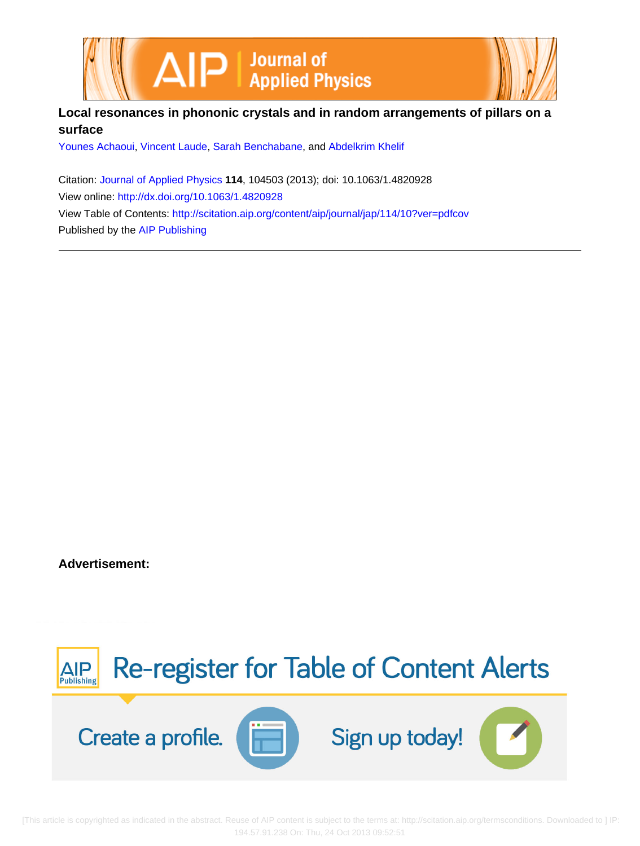

## **Local resonances in phononic crystals and in random arrangements of pillars on a surface**

[Younes Achaoui,](http://scitation.aip.org/search?value1=Younes+Achaoui&option1=author) [Vincent Laude](http://scitation.aip.org/search?value1=Vincent+Laude&option1=author), [Sarah Benchabane](http://scitation.aip.org/search?value1=Sarah+Benchabane&option1=author), and [Abdelkrim Khelif](http://scitation.aip.org/search?value1=Abdelkrim+Khelif&option1=author)

Citation: [Journal of Applied Physics](http://scitation.aip.org/content/aip/journal/jap?ver=pdfcov) **114**, 104503 (2013); doi: 10.1063/1.4820928 View online: <http://dx.doi.org/10.1063/1.4820928> View Table of Contents: <http://scitation.aip.org/content/aip/journal/jap/114/10?ver=pdfcov> Published by the [AIP Publishing](http://scitation.aip.org/content/aip?ver=pdfcov)

**Advertisement:**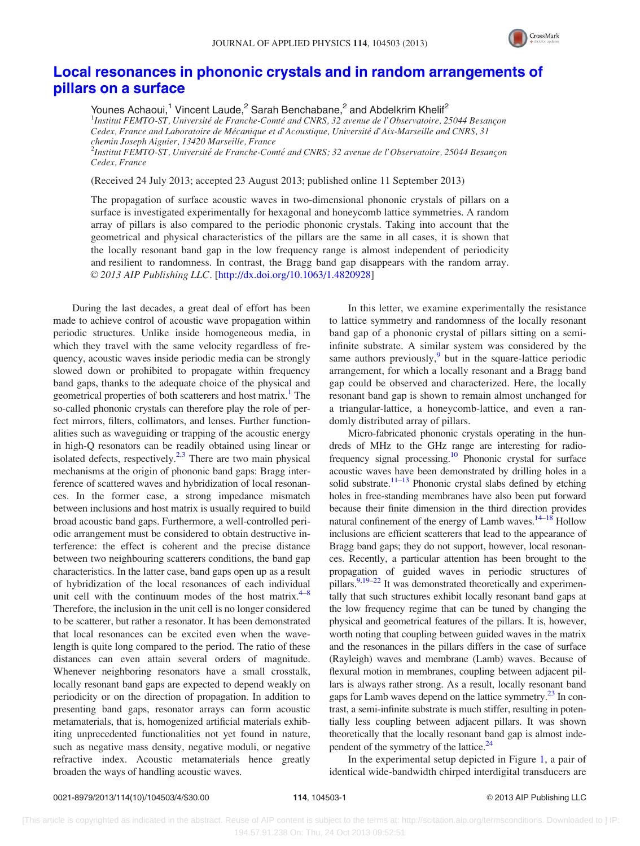

## [Local resonances in phononic crystals and in random arrangements of](http://dx.doi.org/10.1063/1.4820928) [pillars on a surface](http://dx.doi.org/10.1063/1.4820928)

Younes Achaoui,<sup>1</sup> Vincent Laude,<sup>2</sup> Sarah Benchabane,<sup>2</sup> and Abdelkrim Khelif<sup>2</sup> <sup>1</sup>Institut FEMTO-ST, Université de Franche-Comté and CNRS, 32 avenue de l'Observatoire, 25044 Besançon Cedex, France and Laboratoire de Mécanique et d'Acoustique, Université d'Aix-Marseille and CNRS, 31 chemin Joseph Aiguier, 13420 Marseille, France  $^2$ Institut FEMTO-ST, Université de Franche-Comté and CNRS; 32 avenue de l'Observatoire, 25044 Besançon Cedex, France

(Received 24 July 2013; accepted 23 August 2013; published online 11 September 2013)

The propagation of surface acoustic waves in two-dimensional phononic crystals of pillars on a surface is investigated experimentally for hexagonal and honeycomb lattice symmetries. A random array of pillars is also compared to the periodic phononic crystals. Taking into account that the geometrical and physical characteristics of the pillars are the same in all cases, it is shown that the locally resonant band gap in the low frequency range is almost independent of periodicity and resilient to randomness. In contrast, the Bragg band gap disappears with the random array. © 2013 AIP Publishing LLC. [[http://dx.doi.org/10.1063/1.4820928\]](http://dx.doi.org/10.1063/1.4820928)

During the last decades, a great deal of effort has been made to achieve control of acoustic wave propagation within periodic structures. Unlike inside homogeneous media, in which they travel with the same velocity regardless of frequency, acoustic waves inside periodic media can be strongly slowed down or prohibited to propagate within frequency band gaps, thanks to the adequate choice of the physical and geometrical properties of both scatterers and host matrix.<sup>1</sup> The so-called phononic crystals can therefore play the role of perfect mirrors, filters, collimators, and lenses. Further functionalities such as waveguiding or trapping of the acoustic energy in high-Q resonators can be readily obtained using linear or isolated defects, respectively. $2,3$  $2,3$  There are two main physical mechanisms at the origin of phononic band gaps: Bragg interference of scattered waves and hybridization of local resonances. In the former case, a strong impedance mismatch between inclusions and host matrix is usually required to build broad acoustic band gaps. Furthermore, a well-controlled periodic arrangement must be considered to obtain destructive interference: the effect is coherent and the precise distance between two neighbouring scatterers conditions, the band gap characteristics. In the latter case, band gaps open up as a result of hybridization of the local resonances of each individual unit cell with the continuum modes of the host matrix. $4-8$ Therefore, the inclusion in the unit cell is no longer considered to be scatterer, but rather a resonator. It has been demonstrated that local resonances can be excited even when the wavelength is quite long compared to the period. The ratio of these distances can even attain several orders of magnitude. Whenever neighboring resonators have a small crosstalk, locally resonant band gaps are expected to depend weakly on periodicity or on the direction of propagation. In addition to presenting band gaps, resonator arrays can form acoustic metamaterials, that is, homogenized artificial materials exhibiting unprecedented functionalities not yet found in nature, such as negative mass density, negative moduli, or negative refractive index. Acoustic metamaterials hence greatly broaden the ways of handling acoustic waves.

In this letter, we examine experimentally the resistance to lattice symmetry and randomness of the locally resonant band gap of a phononic crystal of pillars sitting on a semiinfinite substrate. A similar system was considered by the same authors previously, $9$  but in the square-lattice periodic arrangement, for which a locally resonant and a Bragg band gap could be observed and characterized. Here, the locally resonant band gap is shown to remain almost unchanged for a triangular-lattice, a honeycomb-lattice, and even a randomly distributed array of pillars.

Micro-fabricated phononic crystals operating in the hundreds of MHz to the GHz range are interesting for radiofrequency signal processing.[10](#page-4-0) Phononic crystal for surface acoustic waves have been demonstrated by drilling holes in a solid substrate.<sup>[11–13](#page-4-0)</sup> Phononic crystal slabs defined by etching holes in free-standing membranes have also been put forward because their finite dimension in the third direction provides natural confinement of the energy of Lamb waves.<sup>14–18</sup> Hollow inclusions are efficient scatterers that lead to the appearance of Bragg band gaps; they do not support, however, local resonances. Recently, a particular attention has been brought to the propagation of guided waves in periodic structures of pillars.<sup>9,19–22</sup> It was demonstrated theoretically and experimentally that such structures exhibit locally resonant band gaps at the low frequency regime that can be tuned by changing the physical and geometrical features of the pillars. It is, however, worth noting that coupling between guided waves in the matrix and the resonances in the pillars differs in the case of surface (Rayleigh) waves and membrane (Lamb) waves. Because of flexural motion in membranes, coupling between adjacent pillars is always rather strong. As a result, locally resonant band gaps for Lamb waves depend on the lattice symmetry.<sup>[23](#page-4-0)</sup> In contrast, a semi-infinite substrate is much stiffer, resulting in potentially less coupling between adjacent pillars. It was shown theoretically that the locally resonant band gap is almost independent of the symmetry of the lattice. $^{24}$ 

In the experimental setup depicted in Figure [1](#page-2-0), a pair of identical wide-bandwidth chirped interdigital transducers are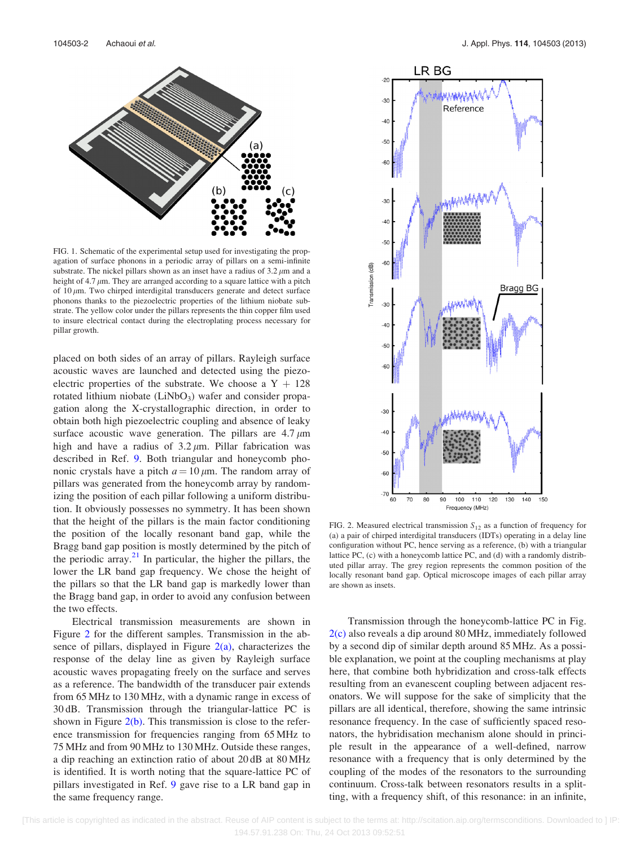<span id="page-2-0"></span>

FIG. 1. Schematic of the experimental setup used for investigating the propagation of surface phonons in a periodic array of pillars on a semi-infinite substrate. The nickel pillars shown as an inset have a radius of  $3.2 \mu m$  and a height of 4.7  $\mu$ m. They are arranged according to a square lattice with a pitch of  $10 \mu$ m. Two chirped interdigital transducers generate and detect surface phonons thanks to the piezoelectric properties of the lithium niobate substrate. The yellow color under the pillars represents the thin copper film used to insure electrical contact during the electroplating process necessary for pillar growth.

placed on both sides of an array of pillars. Rayleigh surface acoustic waves are launched and detected using the piezoelectric properties of the substrate. We choose a  $Y + 128$ rotated lithium niobate  $(LiNbO<sub>3</sub>)$  wafer and consider propagation along the X-crystallographic direction, in order to obtain both high piezoelectric coupling and absence of leaky surface acoustic wave generation. The pillars are  $4.7 \mu m$ high and have a radius of  $3.2 \mu m$ . Pillar fabrication was described in Ref. [9](#page-4-0). Both triangular and honeycomb phononic crystals have a pitch  $a = 10 \mu m$ . The random array of pillars was generated from the honeycomb array by randomizing the position of each pillar following a uniform distribution. It obviously possesses no symmetry. It has been shown that the height of the pillars is the main factor conditioning the position of the locally resonant band gap, while the Bragg band gap position is mostly determined by the pitch of the periodic array. $^{21}$  $^{21}$  $^{21}$  In particular, the higher the pillars, the lower the LR band gap frequency. We chose the height of the pillars so that the LR band gap is markedly lower than the Bragg band gap, in order to avoid any confusion between the two effects.

Electrical transmission measurements are shown in Figure 2 for the different samples. Transmission in the absence of pillars, displayed in Figure  $2(a)$ , characterizes the response of the delay line as given by Rayleigh surface acoustic waves propagating freely on the surface and serves as a reference. The bandwidth of the transducer pair extends from 65 MHz to 130 MHz, with a dynamic range in excess of 30 dB. Transmission through the triangular-lattice PC is shown in Figure  $2(b)$ . This transmission is close to the reference transmission for frequencies ranging from 65 MHz to 75 MHz and from 90 MHz to 130 MHz. Outside these ranges, a dip reaching an extinction ratio of about 20 dB at 80 MHz is identified. It is worth noting that the square-lattice PC of pillars investigated in Ref. [9](#page-4-0) gave rise to a LR band gap in the same frequency range.



FIG. 2. Measured electrical transmission  $S_{12}$  as a function of frequency for (a) a pair of chirped interdigital transducers (IDTs) operating in a delay line configuration without PC, hence serving as a reference, (b) with a triangular lattice PC, (c) with a honeycomb lattice PC, and (d) with a randomly distributed pillar array. The grey region represents the common position of the locally resonant band gap. Optical microscope images of each pillar array are shown as insets.

Transmission through the honeycomb-lattice PC in Fig. 2(c) also reveals a dip around 80 MHz, immediately followed by a second dip of similar depth around 85 MHz. As a possible explanation, we point at the coupling mechanisms at play here, that combine both hybridization and cross-talk effects resulting from an evanescent coupling between adjacent resonators. We will suppose for the sake of simplicity that the pillars are all identical, therefore, showing the same intrinsic resonance frequency. In the case of sufficiently spaced resonators, the hybridisation mechanism alone should in principle result in the appearance of a well-defined, narrow resonance with a frequency that is only determined by the coupling of the modes of the resonators to the surrounding continuum. Cross-talk between resonators results in a splitting, with a frequency shift, of this resonance: in an infinite,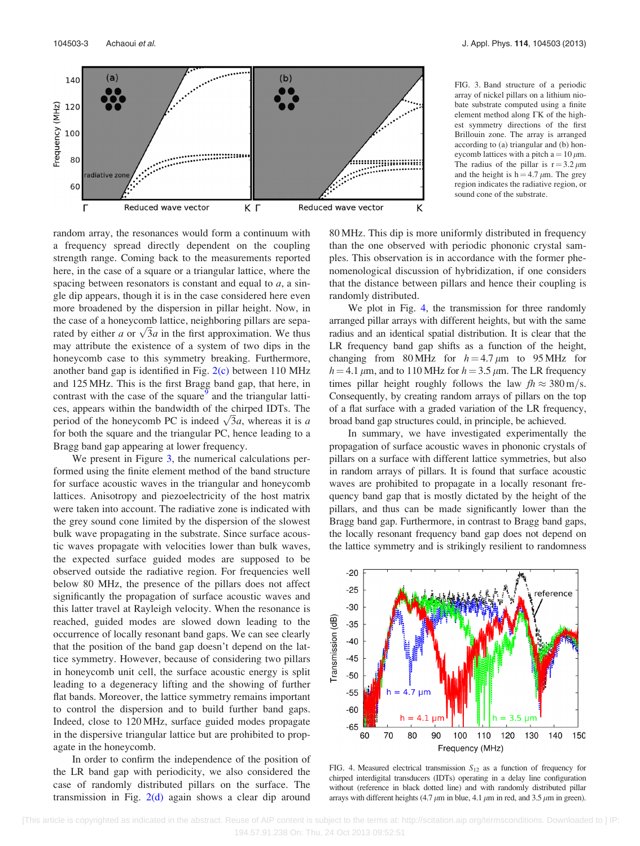



random array, the resonances would form a continuum with a frequency spread directly dependent on the coupling strength range. Coming back to the measurements reported here, in the case of a square or a triangular lattice, where the spacing between resonators is constant and equal to  $a$ , a single dip appears, though it is in the case considered here even more broadened by the dispersion in pillar height. Now, in the case of a honeycomb lattice, neighboring pillars are sepathe case of a noneycomb lattice, neignboring pluars are separated by either a or  $\sqrt{3}a$  in the first approximation. We thus may attribute the existence of a system of two dips in the honeycomb case to this symmetry breaking. Furthermore, another band gap is identified in Fig. [2\(c\)](#page-2-0) between 110 MHz and 125 MHz. This is the first Bragg band gap, that here, in contrast with the case of the square<sup>[9](#page-4-0)</sup> and the triangular lattices, appears within the bandwidth of the chirped IDTs. The ces, appears within the bandwidth of the chirped IDTs. The period of the honeycomb PC is indeed  $\sqrt{3}a$ , whereas it is a for both the square and the triangular PC, hence leading to a Bragg band gap appearing at lower frequency.

We present in Figure 3, the numerical calculations performed using the finite element method of the band structure for surface acoustic waves in the triangular and honeycomb lattices. Anisotropy and piezoelectricity of the host matrix were taken into account. The radiative zone is indicated with the grey sound cone limited by the dispersion of the slowest bulk wave propagating in the substrate. Since surface acoustic waves propagate with velocities lower than bulk waves, the expected surface guided modes are supposed to be observed outside the radiative region. For frequencies well below 80 MHz, the presence of the pillars does not affect significantly the propagation of surface acoustic waves and this latter travel at Rayleigh velocity. When the resonance is reached, guided modes are slowed down leading to the occurrence of locally resonant band gaps. We can see clearly that the position of the band gap doesn't depend on the lattice symmetry. However, because of considering two pillars in honeycomb unit cell, the surface acoustic energy is split leading to a degeneracy lifting and the showing of further flat bands. Moreover, the lattice symmetry remains important to control the dispersion and to build further band gaps. Indeed, close to 120 MHz, surface guided modes propagate in the dispersive triangular lattice but are prohibited to propagate in the honeycomb.

In order to confirm the independence of the position of the LR band gap with periodicity, we also considered the case of randomly distributed pillars on the surface. The transmission in Fig.  $2(d)$  again shows a clear dip around 80 MHz. This dip is more uniformly distributed in frequency than the one observed with periodic phononic crystal samples. This observation is in accordance with the former phenomenological discussion of hybridization, if one considers that the distance between pillars and hence their coupling is randomly distributed.

We plot in Fig. 4, the transmission for three randomly arranged pillar arrays with different heights, but with the same radius and an identical spatial distribution. It is clear that the LR frequency band gap shifts as a function of the height, changing from 80 MHz for  $h = 4.7 \mu m$  to 95 MHz for  $h = 4.1 \mu$ m, and to 110 MHz for  $h = 3.5 \mu$ m. The LR frequency times pillar height roughly follows the law  $fh \approx 380 \text{ m/s}$ . Consequently, by creating random arrays of pillars on the top of a flat surface with a graded variation of the LR frequency, broad band gap structures could, in principle, be achieved.

In summary, we have investigated experimentally the propagation of surface acoustic waves in phononic crystals of pillars on a surface with different lattice symmetries, but also in random arrays of pillars. It is found that surface acoustic waves are prohibited to propagate in a locally resonant frequency band gap that is mostly dictated by the height of the pillars, and thus can be made significantly lower than the Bragg band gap. Furthermore, in contrast to Bragg band gaps, the locally resonant frequency band gap does not depend on the lattice symmetry and is strikingly resilient to randomness



FIG. 4. Measured electrical transmission  $S_{12}$  as a function of frequency for chirped interdigital transducers (IDTs) operating in a delay line configuration without (reference in black dotted line) and with randomly distributed pillar arrays with different heights (4.7  $\mu$ m in blue, 4.1  $\mu$ m in red, and 3.5  $\mu$ m in green).

FIG. 3. Band structure of a periodic array of nickel pillars on a lithium niobate substrate computed using a finite element method along  $\Gamma K$  of the highest symmetry directions of the first Brillouin zone. The array is arranged according to (a) triangular and (b) honeycomb lattices with a pitch  $a = 10 \mu m$ . The radius of the pillar is  $r = 3.2 \mu m$ and the height is  $h = 4.7 \mu m$ . The grey region indicates the radiative region, or

sound cone of the substrate.